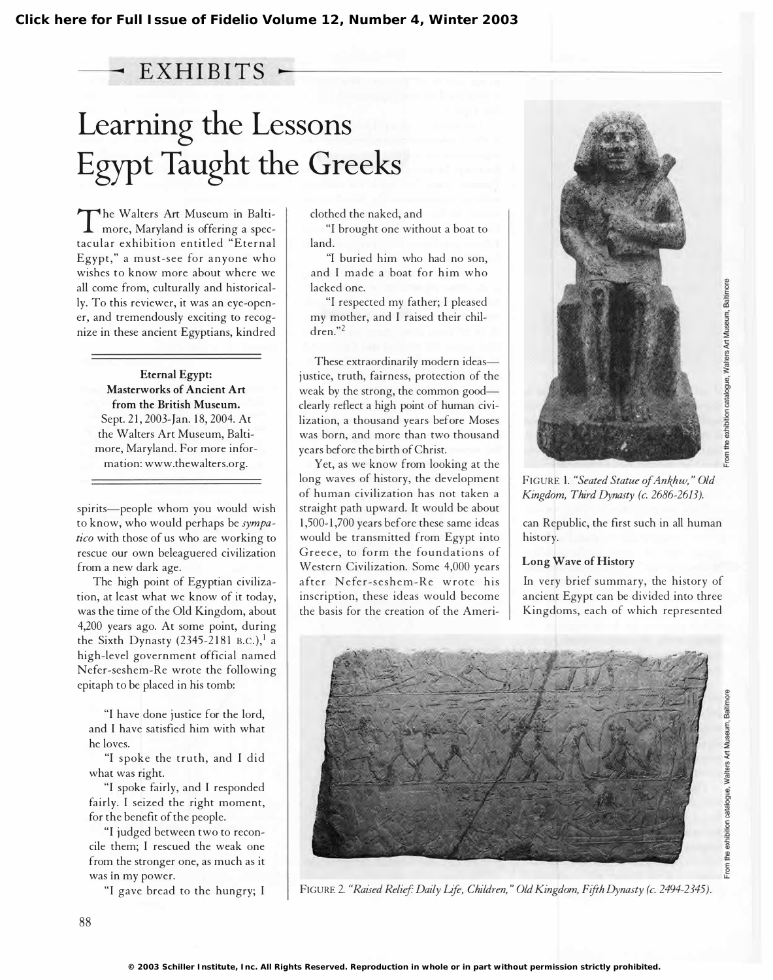# EXHIBITS .

# Learning the Lessons Egypt Taught the Greeks

The waters Art Museum in Battle he Walters Art Museum in Baltitacular exhibition entitled "Eternal Egypt," a must-see for anyone who wishes to know more about where we all come from, culturally and historically. To this reviewer, it was an eye-opener, and tremendously exciting to recognize in these ancient Egyptians, kindred

Eternal Egypt: Masterworks of Ancient Art from the British Museum. Sept. 21, 2003-Jan. 18, 2004. At the Walters Art Museum, Baltimore, Maryland. For more information: www.thewalters.org.

spirits-people whom you would wish to know, who would perhaps be sympatico with those of us who are working to rescue our own beleaguered civilization from a new dark age.

The high point of Egyptian civilization, at least what we know of it today, was the time of the Old Kingdom, about 4,200 years ago. At some point, during the Sixth Dynasty (2345-2181 B.C.),<sup>1</sup> a high-level government official named Nefer-seshem-Re wrote the following epitaph to be placed in his tomb:

"I have done justice for the lord, and I have satisfied him with what he loves.

"I spoke the truth, and I did what was right.

"I spoke fairly, and 1 responded fairly. 1 seized the right moment, for the benefit of the people.

"I judged between two to reconcile them; 1 rescued the weak one from the stronger one, as much as it was in my power.

clothed the naked, and

"I brought one without a boat to land.

"I buried him who had no son, and I made a boat for him who lacked one.

"I respected my father; 1 pleased my mother, and 1 raised their children."2

These extraordinarily modern ideasjustice, truth, fairness, protection of the weak by the strong, the common goodclearly reflect a high point of human civilization, a thousand years before Moses was born, and more than two thousand years before the birth of Christ.

Yet, as we know from looking at the long waves of history, the development of human civilization has not taken a straight path upward. It would be about 1 ,500-1 ,700 years before these same ideas would be transmitted from Egypt into Greece, to form the foundations of Western Civilization. Some 4,000 years a fter Nefer-seshem-Re w rote his inscription, these ideas would become the basis for the creation of the Ameri-



From the exhibition catalogue, Walters Art Museum, Baltimor

FIGURE 1. "Seated Statue of Ankhw," Old Kingdom, Third Dynasty (c. 2686-2613).

can Republic, the first such in all human history.

# Long Wave of History

In very brief summary, the history of ancient Egypt can be divided into three Kingdoms, each of which represented

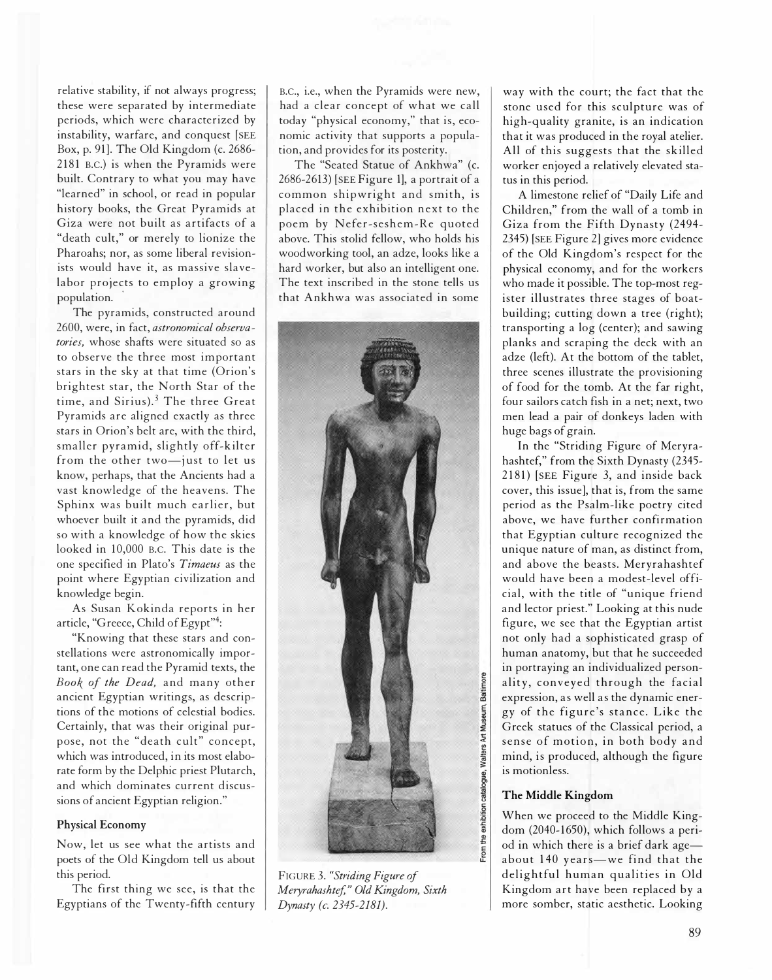relative stability, if not always progress; these were separated by intermediate periods, which were characterized by instability, warfare, and conquest [SEE Box, p. 91]. The Old Kingdom (c. 2686- 2181 B.C.) is when the Pyramids were built. Contrary to what you may have "learned" in school, or read in popular history books, the Great Pyramids at Giza were not built as artifacts of a "death cult," or merely to lionize the Pharoahs; nor, as some liberal revisionists would have it, as massive slavelabor projects to employ a growing population. .

The pyramids, constructed around 2600, were, in fact, astronomical observatories, whose shafts were situated so as to observe the three most important stars in the sky at that time (Orion's brightest star, the North Star of the time, and Sirius).<sup>3</sup> The three Great Pyramids are aligned exactly as three stars in Orion's belt are, with the third, smaller pyramid, slightly off-kilter from the other two-just to let us know, perhaps, that the Ancients had a vast knowledge of the heavens. The Sphinx was built much earlier, but whoever built it and the pyramids, did so with a knowledge of how the skies looked in 10,000 B.C. This date is the one specified in Plato's Timaeus as the point where Egyptian civilization and knowledge begin.

As Susan Kokinda reports in her article, "Greece, Child of Egypt"4:

"Knowing that these stars and constellations were astronomically important, one can read the Pyramid texts, the Book of the Dead, and many other ancient Egyptian writings, as descriptions of the motions of celestial bodies. Certainly, that was their original purpose, not the "death cult" concept, which was introduced, in its most elaborate form by the Delphic priest Plutarch, and which dominates current discussions of ancient Egyptian religion."

#### Physical Economy

Now, let us see what the artists and poets of the Old Kingdom tell us about this period.

The first thing we see, is that the Egyptians of the Twenty-fifth century

B.C., i.e., when the Pyramids were new, had a clear concept of what we call today "physical economy," that is, economic activity that supports a population, and provides for its posterity.

The "Seated Statue of Ankhwa" (c. 2686-26l3) [SEE Figure 1], a portrait of a common shipwright and smith, is placed in the exhibition next to the poem by Nefer-seshem-Re quoted above. This stolid fellow, who holds his woodworking tool, an adze, looks like a hard worker, but also an intelligent one. The text inscribed in the stone tells us that Ankhwa was associated in some



FIGURE 3. "Striding Figure of Meryrahashtef," Old Kingdom, Sixth Dynasty (c. 2345-2181).

way with the court; the fact that the stone used for this sculpture was of high-quality granite, is an indication that it was produced in the royal atelier. All of this suggests that the skilled worker enjoyed a relatively elevated status in this period.

A limestone relief of "Daily Life and Children," from the wall of a tomb in Giza from the Fifth Dynasty (2494- 2345) [SEE Figure 2] gives more evidence of the Old Kingdom's respect for the physical economy, and for the workers who made it possible. The top-most register illustrates three stages of boatbuilding; cutting down a tree (right); transporting a log (center); and sawing planks and scraping the deck with an adze (left). At the bottom of the tablet, three scenes illustrate the provisioning of food for the tomb. At the far right, four sailors catch fish in a net; next, two men lead a pair of donkeys laden with huge bags of grain.

In the "Striding Figure of Meryrahashtef," from the Sixth Dynasty (2345- 2181) [SEE Figure 3, and inside back cover, this issue], that is, from the same period as the Psalm-like poetry cited above, we have further confirmation that Egyptian culture recognized the unique nature of man, as distinct from, and above the beasts. Meryrahashtef would have been a modest-level official, with the title of "unique friend and lector priest." Looking at this nude figure, we see that the Egyptian artist not only had a sophisticated grasp of human anatomy, but that he succeeded in portraying an individualized personality, conveyed through the facial expression, as well as the dynamic energy of the figure's stance. Like the Greek statues of the Classical period, a sense of motion, in both body and mind, is produced, although the figure is motionless.

#### The Middle Kingdom

When we proceed to the Middle Kingdom (2040-1650), which follows a period in which there is a brief dark ageabout 140 years-we find that the delightful human qualities in Old Kingdom art have been replaced by a more somber, static aesthetic. Looking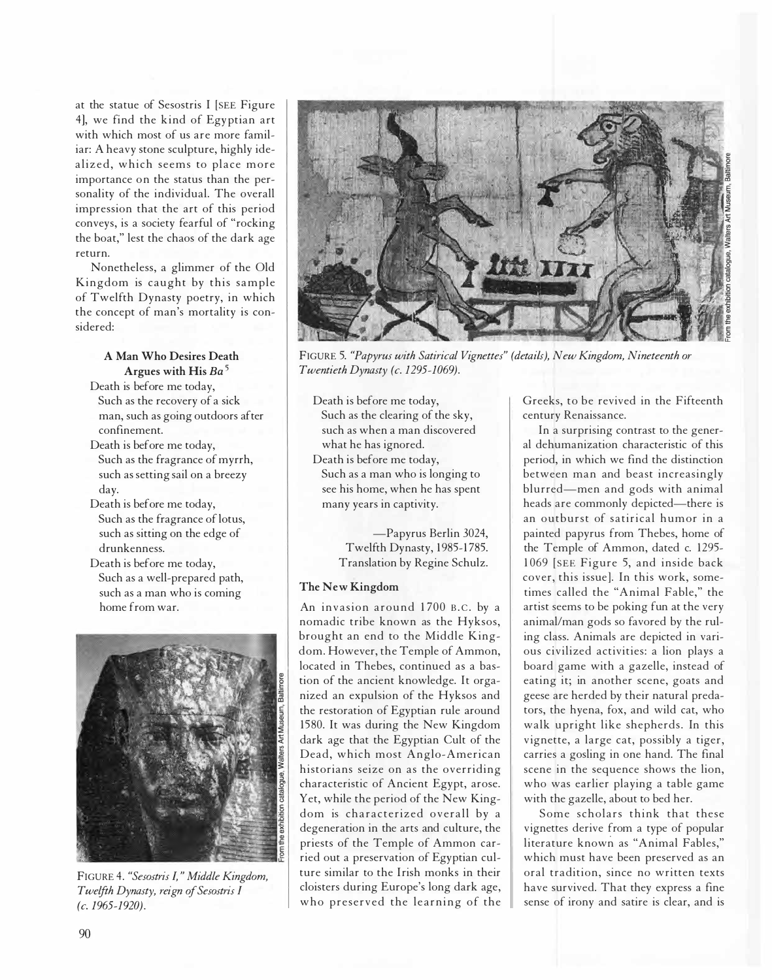at the statue of Sesostris I [SEE Figure 4], we find the kind of Egyptian art with which most of us are more familiar: A heavy stone sculpture, highly idealized, which seems to place more importance on the status than the personality of the individual. The overall impression that the art of this period conveys, is a society fearful of "rocking the boat," lest the chaos of the dark age return.

Nonetheless, a glimmer of the Old Kingdom is caught by this sample of Twelfth Dynasty poetry, in which the concept of man's mortality is considered:

## A Man Who Desires Death Argues with His  $Ba<sup>5</sup>$

Death is before me today,

- Such as the recovery of a sick man, such as going outdoors after confinement.
- Death is before me today, Such as the fragrance of myrrh, such as setting sail on a breezy day.
- Death is before me today, Such as the fragrance of lotus, such as sitting on the edge of drunkenness.
- Death is before me today, Such as a well-prepared path, such as a man who is coming home from war.



FIGURE 4. "Sesostris J," Middle Kingdom, Twelfth Dynasty, reign of Sesostris J (c. 1965-1920).



FIGURE 5. "Papyrus with Satirical Vignettes" (details), New Kingdom, Nineteenth or Twentieth Dynasty (c. 1295-1069).

Death is before me today, Such as the clearing of the sky, such as when a man discovered what he has ignored. Death is before me today, Such as a man who is longing to see his home, when he has spent

many years in captivity.

-Papyrus Berlin 3024, Twelfth Dynasty, 1985-1785. Translation by Regine Schulz.

## The New Kingdom

An invasion around 1700 B.C. by a nomadic tribe known as the Hyksos, brought an end to the Middle Kingdom. However, the Temple of Ammon, located in Thebes, continued as a bastion of the ancient knowledge. It organized an expulsion of the Hyksos and the restoration of Egyptian rule around 1580. It was during the New Kingdom dark age that the Egyptian Cult of the Dead, which most Anglo-American historians seize on as the overriding characteristic of Ancient Egypt, arose. Yet, while the period of the New Kingdom is characterized overall by a degeneration in the arts and culture, the priests of the Temple of Ammon carried out a preservation of Egyptian culture similar to the Irish monks in their cloisters during Europe's long dark age, who preserved the learning of the

Greeks, to be revived in the Fifteenth century Renaissance.

In a surprising contrast to the general dehumanization characteristic of this period, in which we find the distinction between man and beast increasingly blurred-men and gods with animal heads are commonly depicted-there is an outburst of satirical humor in a painted papyrus from Thebes, home of the Temple of Ammon, dated c. 1295-1 069 [SEE Figure 5, and inside back cover, this issue]. In this work, sometimes called the "Animal Fable," the artist seems to be poking fun at the very animal/man gods so favored by the ruling class. Animals are depicted in various civilized activities: a lion plays a board game with a gazelle, instead of eating it; in another scene, goats and geese are herded by their natural predators, the hyena, fox, and wild cat, who walk upright like shepherds. In this vignette, a large cat, possibly a tiger, carries a gosling in one hand. The final scene in the sequence shows the lion, who was earlier playing a table game with the gazelle, about to bed her.

Some scholars think that these vignettes derive from a type of popular literature known as "Animal Fables," which must have been preserved as an oral tradition, since no written texts have survived. That they express a fine sense of irony and satire is clear, and is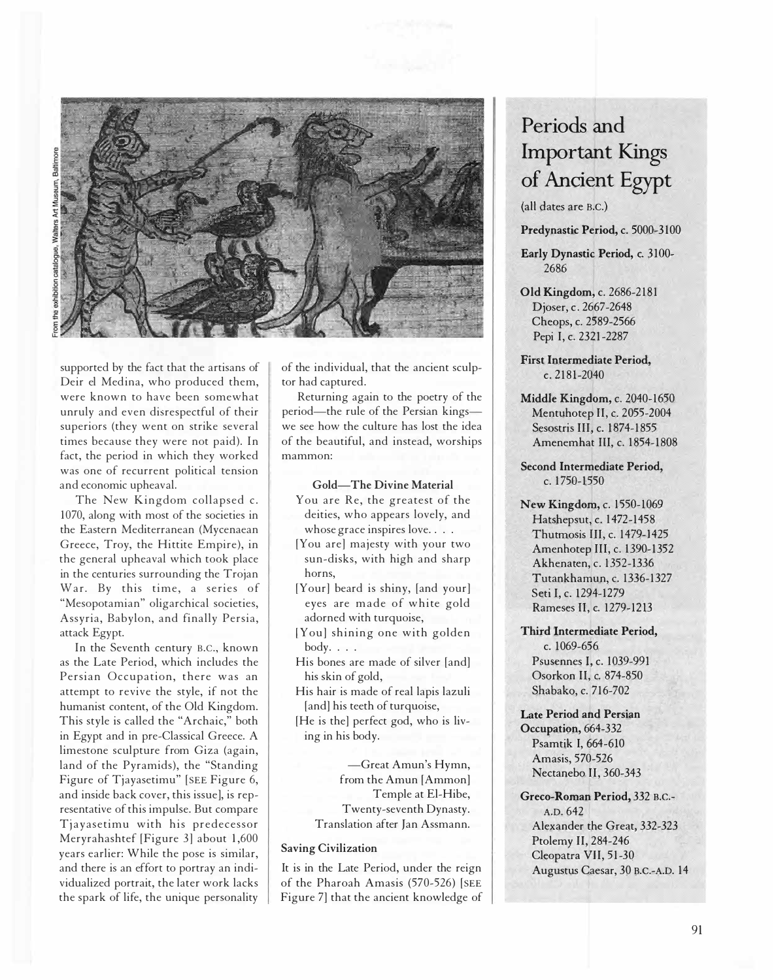



supported by the fact that the artisans of Deir el Medina, who produced them, were known to have been somewhat unruly and even disrespectful of their superiors (they went on strike several times because they were not paid). In fact, the period in which they worked was one of recurrent political tension and economic upheaval.

The New Kingdom collapsed c. 1 070, along with most of the societies in the Eastern Mediterranean (Mycenaean Greece, Troy, the Hittite Empire), in the general upheaval which took place in the centuries surrounding the Trojan War. By this time, a series of "Mesopotamian" oligarchical societies, Assyria, Babylon, and finally Persia, attack Egypt.

In the Seventh century B.C., known as the Late Period, which includes the Persian Occupation, there was an attempt to revive the style, if not the humanist content, of the Old Kingdom. This style is called the "Archaic," both in Egypt and in pre-Classical Greece. A limestone sculpture from Giza (again, land of the Pyramids), the "Standing Figure of Tjayasetimu" [SEE Figure 6, and inside back cover, this issue], is representative of this impulse. But compare Tjayasetimu with his predecessor Meryrahashtef [Figure 3] about 1,600 years earlier: While the pose is similar, and there is an effort to portray an individualized portrait, the later work lacks the spark of life, the unique personality

of the individual, that the ancient sculptor had captured.

Returning again to the poetry of the period-the rule of the Persian kingswe see how the culture has lost the idea of the beautiful, and instead, worships mammon:

### Gold-The Divine Material

- You are Re, the greatest of the deities, who appears lovely, and whose grace inspires love.  $\ldots$ .
- [You are] majesty with your two sun-disks, with high and sharp horns,
- [Your] beard is shiny, [and your] eyes are made of white gold adorned with turquoise,
- [You] shining one with golden  $body.$ ...
- His bones are made of silver [and] his skin of gold,

His hair is made of real lapis lazuli [and] his teeth of turquoise,

[He is the] perfect god, who is living in his body.

> -Great Amun's Hymn, from the Amun [Ammon] Temple at El-Hibe, Twenty-seventh Dynasty. Translation after Jan Assmann.

#### Saving Civilization

It is in the Late Period, under the reign of the Pharoah Amasis (570-526) [SEE Figure 7] that the ancient knowledge of

# Periods and Important Kings of Ancient Egypt

(all dates are B.C.)

Predynastic Period, c. 5000-3 100

Early Dynastic Period, c. 3100- 2686

- Old Kingdom, c. 2686-2 181 Djoser, c. 2667-2648 Cheops, c. 2589-2566 Pepi I, c. 2321-2287
- First Intermediate Period,  $c. 2181 - 2040$
- Middle Kingdom, c. 2040-1650 Mentuhotep II, c. 2055-2004 Sesostris III, c. 1874-1855 Amenemhat III, c. 1854-1808

Second Intermediate Period, c. 1750-1550

New Kingdom, c. 1550-1069 Hatshepsut, c. 1472-1458 Thutmosis III, c. 1479-1425 Amenhotep III, c. 1390-1352 Akhenaten, c. 1352-1336 Tutankhamun, c. 1336-1327 Seti I, c. 1294-1279 Rameses II, c. 1279-1213

Third Intermediate Period, c. 1069-656 Psusennes I, c. 1039-991 Osorkon II, c. 874-850 Shabako, c. 716-702

Late Period and Persian Occupation, 664-332 Psamtik I, 664-610 Amasis, 570-526 Nectanebo II, 360-343

Greco-Roman Period, 332 B.C.- A.D. 642 Alexander the Great, 332-323 Ptolemy II, 284-246 Cleopatra VII, 51-30 Augustus Caesar, 30 B.C.-A.D. 14